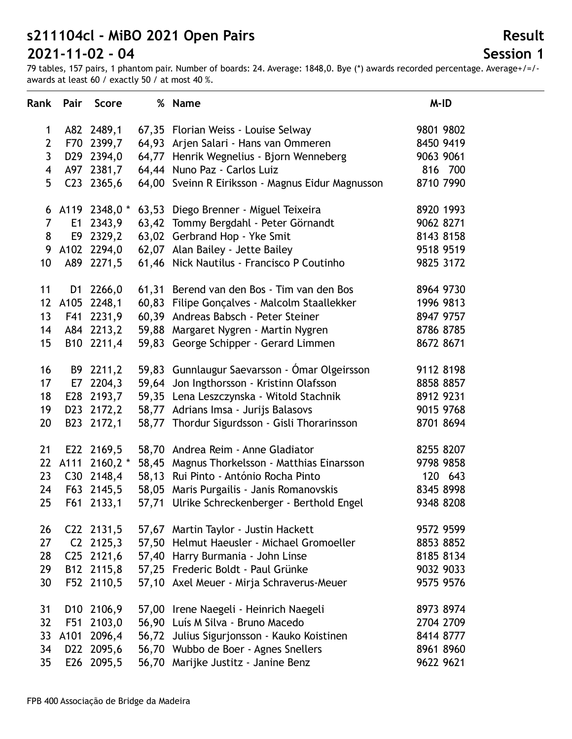**Session 1**

**Result**

| Rank            | Pair             | <b>Score</b>    |       | % Name                                            | M-ID      |
|-----------------|------------------|-----------------|-------|---------------------------------------------------|-----------|
| 1               |                  | A82 2489,1      |       | 67,35 Florian Weiss - Louise Selway               | 9801 9802 |
| $\overline{2}$  |                  | F70 2399,7      |       | 64,93 Arjen Salari - Hans van Ommeren             | 8450 9419 |
| $\overline{3}$  |                  | D29 2394,0      |       | 64,77 Henrik Wegnelius - Bjorn Wenneberg          | 9063 9061 |
| 4               |                  | A97 2381,7      |       | 64,44 Nuno Paz - Carlos Luiz                      | 816 700   |
| 5               | C <sub>23</sub>  | 2365,6          |       | 64,00 Sveinn R Eiriksson - Magnus Eidur Magnusson | 8710 7990 |
|                 |                  | 6 A119 2348,0 * | 63,53 | Diego Brenner - Miguel Teixeira                   | 8920 1993 |
| 7               | E <sub>1</sub>   | 2343,9          |       | 63,42 Tommy Bergdahl - Peter Görnandt             | 9062 8271 |
| 8               | E9               | 2329,2          |       | 63,02 Gerbrand Hop - Yke Smit                     | 8143 8158 |
| 9               |                  | A102 2294,0     |       | 62,07 Alan Bailey - Jette Bailey                  | 9518 9519 |
| 10              | A89              | 2271,5          |       | 61,46 Nick Nautilus - Francisco P Coutinho        | 9825 3172 |
| 11              | D <sub>1</sub>   | 2266,0          |       | 61,31 Berend van den Bos - Tim van den Bos        | 8964 9730 |
| 12 <sub>2</sub> | A105             | 2248,1          |       | 60,83 Filipe Gonçalves - Malcolm Staallekker      | 1996 9813 |
| 13              | F41              | 2231,9          |       | 60,39 Andreas Babsch - Peter Steiner              | 8947 9757 |
| 14              |                  | A84 2213,2      |       | 59,88 Margaret Nygren - Martin Nygren             | 8786 8785 |
| 15              | <b>B10</b>       | 2211,4          | 59,83 | George Schipper - Gerard Limmen                   | 8672 8671 |
| 16              |                  | B9 2211,2       |       | 59,83 Gunnlaugur Saevarsson - Ómar Olgeirsson     | 9112 8198 |
| 17              | E7               | 2204,3          |       | 59,64 Jon Ingthorsson - Kristinn Olafsson         | 8858 8857 |
| 18              | E28              | 2193,7          |       | 59,35 Lena Leszczynska - Witold Stachnik          | 8912 9231 |
| 19              | D <sub>2</sub> 3 | 2172,2          |       | 58,77 Adrians Imsa - Jurijs Balasovs              | 9015 9768 |
| 20              | <b>B23</b>       | 2172,1          |       | 58,77 Thordur Sigurdsson - Gisli Thorarinsson     | 8701 8694 |
| 21              |                  | E22 2169,5      |       | 58,70 Andrea Reim - Anne Gladiator                | 8255 8207 |
| 22              | A111             | $2160,2*$       |       | 58,45 Magnus Thorkelsson - Matthias Einarsson     | 9798 9858 |
| 23              | C30              | 2148,4          |       | 58,13 Rui Pinto - António Rocha Pinto             | 120 643   |
| 24              | F63              | 2145,5          |       | 58,05 Maris Purgailis - Janis Romanovskis         | 8345 8998 |
| 25              | F61              | 2133,1          |       | 57,71 Ulrike Schreckenberger - Berthold Engel     | 9348 8208 |
| 26              |                  | C22 2131,5      |       | 57,67 Martin Taylor - Justin Hackett              | 9572 9599 |
| 27              |                  | $C2$ 2125,3     |       | 57,50 Helmut Haeusler - Michael Gromoeller        | 8853 8852 |
| 28              |                  | C25 2121,6      |       | 57,40 Harry Burmania - John Linse                 | 8185 8134 |
| 29              | <b>B12</b>       | 2115,8          |       | 57,25 Frederic Boldt - Paul Grünke                | 9032 9033 |
| 30              |                  | F52 2110,5      |       | 57,10 Axel Meuer - Mirja Schraverus-Meuer         | 9575 9576 |
| 31              | D <sub>10</sub>  | 2106,9          |       | 57,00 Irene Naegeli - Heinrich Naegeli            | 8973 8974 |
| 32              | F51              | 2103,0          |       | 56,90 Luís M Silva - Bruno Macedo                 | 2704 2709 |
| 33              | A101             | 2096,4          |       | 56,72 Julius Sigurjonsson - Kauko Koistinen       | 8414 8777 |
| 34              | D <sub>22</sub>  | 2095,6          |       | 56,70 Wubbo de Boer - Agnes Snellers              | 8961 8960 |
| 35              | E26              | 2095,5          |       | 56,70 Marijke Justitz - Janine Benz               | 9622 9621 |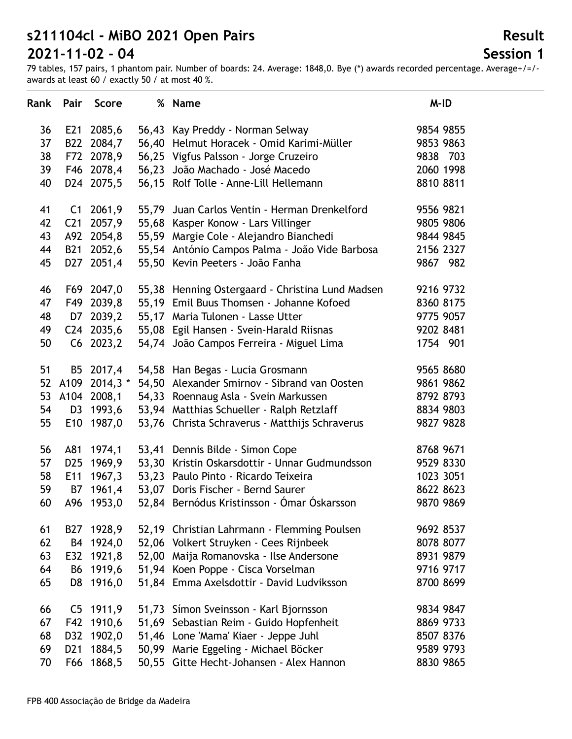**Result Session 1**

| Rank | Pair            | <b>Score</b> |       | % Name                                           | M-ID      |
|------|-----------------|--------------|-------|--------------------------------------------------|-----------|
| 36   | E21             | 2085,6       |       | 56,43 Kay Preddy - Norman Selway                 | 9854 9855 |
| 37   | <b>B22</b>      | 2084,7       |       | 56,40 Helmut Horacek - Omid Karimi-Müller        | 9853 9863 |
| 38   |                 | F72 2078,9   |       | 56,25 Vigfus Palsson - Jorge Cruzeiro            | 9838 703  |
| 39   |                 | F46 2078,4   |       | 56,23 João Machado - José Macedo                 | 2060 1998 |
| 40   |                 | D24 2075,5   |       | 56,15 Rolf Tolle - Anne-Lill Hellemann           | 8810 8811 |
| 41   |                 | $C1$ 2061,9  |       | 55,79 Juan Carlos Ventin - Herman Drenkelford    | 9556 9821 |
| 42   | C <sub>21</sub> | 2057,9       |       | 55,68 Kasper Konow - Lars Villinger              | 9805 9806 |
| 43   |                 | A92 2054,8   |       | 55,59 Margie Cole - Alejandro Bianchedi          | 9844 9845 |
| 44   | <b>B21</b>      | 2052,6       |       | 55,54 António Campos Palma - João Vide Barbosa   | 2156 2327 |
| 45   | D27             | 2051,4       |       | 55,50 Kevin Peeters - João Fanha                 | 9867 982  |
| 46   |                 | F69 2047,0   |       | 55,38 Henning Ostergaard - Christina Lund Madsen | 9216 9732 |
| 47   |                 | F49 2039,8   |       | 55,19 Emil Buus Thomsen - Johanne Kofoed         | 8360 8175 |
| 48   | D7              | 2039,2       |       | 55,17 Maria Tulonen - Lasse Utter                | 9775 9057 |
| 49   |                 | C24 2035,6   |       | 55,08 Egil Hansen - Svein-Harald Riisnas         | 9202 8481 |
| 50   |                 | $C6$ 2023,2  |       | 54,74 João Campos Ferreira - Miguel Lima         | 1754 901  |
| 51   | B <sub>5</sub>  | 2017,4       |       | 54,58 Han Begas - Lucia Grosmann                 | 9565 8680 |
| 52   | A109            | $2014,3*$    |       | 54,50 Alexander Smirnov - Sibrand van Oosten     | 9861 9862 |
| 53   | A104            | 2008,1       |       | 54,33 Roennaug Asla - Svein Markussen            | 8792 8793 |
| 54   | D <sub>3</sub>  | 1993,6       |       | 53,94 Matthias Schueller - Ralph Retzlaff        | 8834 9803 |
| 55   | E10             | 1987,0       |       | 53,76 Christa Schraverus - Matthijs Schraverus   | 9827 9828 |
| 56   | A81             | 1974,1       |       | 53,41 Dennis Bilde - Simon Cope                  | 8768 9671 |
| 57   | D <sub>25</sub> | 1969,9       |       | 53,30 Kristin Oskarsdottir - Unnar Gudmundsson   | 9529 8330 |
| 58   | E11             | 1967,3       |       | 53,23 Paulo Pinto - Ricardo Teixeira             | 1023 3051 |
| 59   | B7              | 1961,4       |       | 53,07 Doris Fischer - Bernd Saurer               | 8622 8623 |
| 60   | A96             | 1953,0       |       | 52,84 Bernódus Kristinsson - Ómar Óskarsson      | 9870 9869 |
| 61   | <b>B27</b>      | 1928,9       |       | 52,19 Christian Lahrmann - Flemming Poulsen      | 9692 8537 |
| 62   | B4              | 1924,0       |       | 52,06 Volkert Struyken - Cees Rijnbeek           | 8078 8077 |
| 63   | E32             | 1921,8       |       | 52,00 Maija Romanovska - Ilse Andersone          | 8931 9879 |
| 64   | <b>B6</b>       | 1919,6       |       | 51,94 Koen Poppe - Cisca Vorselman               | 9716 9717 |
| 65   | D <sub>8</sub>  | 1916,0       |       | 51,84 Emma Axelsdottir - David Ludviksson        | 8700 8699 |
| 66   | C <sub>5</sub>  | 1911,9       |       | 51,73 Símon Sveinsson - Karl Bjornsson           | 9834 9847 |
| 67   | F42             | 1910,6       |       | 51,69 Sebastian Reim - Guido Hopfenheit          | 8869 9733 |
| 68   | D32             | 1902,0       |       | 51,46 Lone 'Mama' Kiaer - Jeppe Juhl             | 8507 8376 |
| 69   | D <sub>21</sub> | 1884,5       |       | 50,99 Marie Eggeling - Michael Böcker            | 9589 9793 |
| 70   | F66             | 1868,5       | 50,55 | Gitte Hecht-Johansen - Alex Hannon               | 8830 9865 |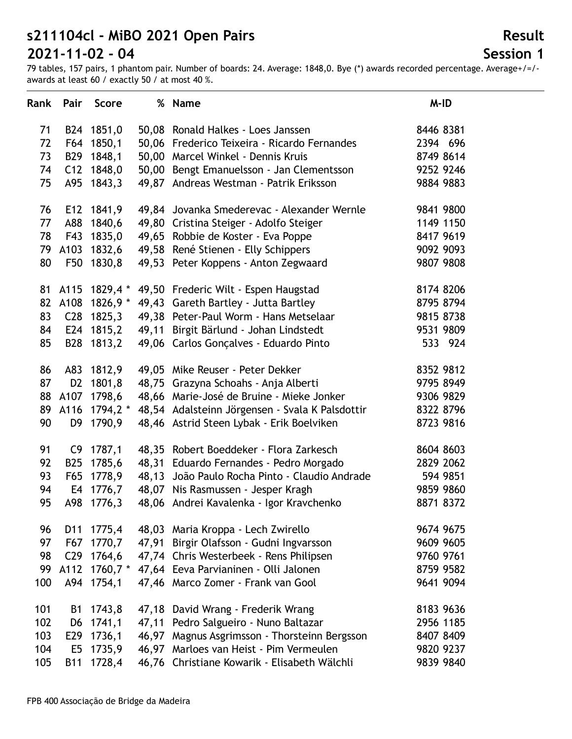**Result Session 1**

| Rank | Pair            | <b>Score</b> |       | % Name                                          | M-ID       |
|------|-----------------|--------------|-------|-------------------------------------------------|------------|
| 71   |                 | B24 1851,0   |       | 50,08 Ronald Halkes - Loes Janssen              | 8446 8381  |
| 72   | F64             | 1850,1       |       | 50,06 Frederico Teixeira - Ricardo Fernandes    | 2394 696   |
| 73   | <b>B29</b>      | 1848,1       |       | 50,00 Marcel Winkel - Dennis Kruis              | 8749 8614  |
| 74   | C <sub>12</sub> | 1848,0       |       | 50,00 Bengt Emanuelsson - Jan Clementsson       | 9252 9246  |
| 75   | A95             | 1843,3       |       | 49,87 Andreas Westman - Patrik Eriksson         | 9884 9883  |
| 76   | E12             | 1841,9       |       | 49,84 Jovanka Smederevac - Alexander Wernle     | 9841 9800  |
| 77   | A88             | 1840,6       |       | 49,80 Cristina Steiger - Adolfo Steiger         | 1149 1150  |
| 78   | F43             | 1835,0       |       | 49,65 Robbie de Koster - Eva Poppe              | 8417 9619  |
| 79   | A103            | 1832,6       |       | 49,58 René Stienen - Elly Schippers             | 9092 9093  |
| 80   | F50             | 1830,8       |       | 49,53 Peter Koppens - Anton Zegwaard            | 9807 9808  |
| 81   | A115            | 1829,4 *     |       | 49,50 Frederic Wilt - Espen Haugstad            | 8174 8206  |
| 82   | A108            | 1826,9 *     |       | 49,43 Gareth Bartley - Jutta Bartley            | 8795 8794  |
| 83   | C <sub>28</sub> | 1825,3       |       | 49,38 Peter-Paul Worm - Hans Metselaar          | 9815 8738  |
| 84   | E24             | 1815,2       |       | 49,11 Birgit Bärlund - Johan Lindstedt          | 9531 9809  |
| 85   | <b>B28</b>      | 1813,2       |       | 49,06 Carlos Gonçalves - Eduardo Pinto          | 533<br>924 |
| 86   | A83             | 1812,9       |       | 49,05 Mike Reuser - Peter Dekker                | 8352 9812  |
| 87   | D <sub>2</sub>  | 1801,8       |       | 48,75 Grazyna Schoahs - Anja Alberti            | 9795 8949  |
| 88   | A107            | 1798,6       |       | 48,66 Marie-José de Bruine - Mieke Jonker       | 9306 9829  |
| 89   | A116            | 1794,2 *     |       | 48,54 Adalsteinn Jörgensen - Svala K Palsdottir | 8322 8796  |
| 90   | D <sub>9</sub>  | 1790,9       |       | 48,46 Astrid Steen Lybak - Erik Boelviken       | 8723 9816  |
| 91   | C <sub>9</sub>  | 1787,1       |       | 48,35 Robert Boeddeker - Flora Zarkesch         | 8604 8603  |
| 92   | <b>B25</b>      | 1785,6       |       | 48,31 Eduardo Fernandes - Pedro Morgado         | 2829 2062  |
| 93   | F65             | 1778,9       |       | 48,13 João Paulo Rocha Pinto - Claudio Andrade  | 594 9851   |
| 94   | E <sub>4</sub>  | 1776,7       | 48,07 | Nis Rasmussen - Jesper Kragh                    | 9859 9860  |
| 95   | A98             | 1776,3       |       | 48,06 Andrei Kavalenka - Igor Kravchenko        | 8871 8372  |
| 96   | D11             | 1775,4       |       | 48,03 Maria Kroppa - Lech Zwirello              | 9674 9675  |
| 97   | F67             | 1770,7       |       | 47,91 Birgir Olafsson - Gudni Ingvarsson        | 9609 9605  |
| 98   | C <sub>29</sub> | 1764,6       |       | 47,74 Chris Westerbeek - Rens Philipsen         | 9760 9761  |
| 99   | A112            | $1760,7*$    |       | 47,64 Eeva Parvianinen - Olli Jalonen           | 8759 9582  |
| 100  | A94             | 1754,1       |       | 47,46 Marco Zomer - Frank van Gool              | 9641 9094  |
| 101  | <b>B1</b>       | 1743,8       |       | 47,18 David Wrang - Frederik Wrang              | 8183 9636  |
| 102  | D <sub>6</sub>  | 1741,1       | 47,11 | Pedro Salgueiro - Nuno Baltazar                 | 2956 1185  |
| 103  | E29             | 1736,1       |       | 46,97 Magnus Asgrimsson - Thorsteinn Bergsson   | 8407 8409  |
| 104  | E <sub>5</sub>  | 1735,9       |       | 46,97 Marloes van Heist - Pim Vermeulen         | 9820 9237  |
| 105  | <b>B11</b>      | 1728,4       |       | 46,76 Christiane Kowarik - Elisabeth Wälchli    | 9839 9840  |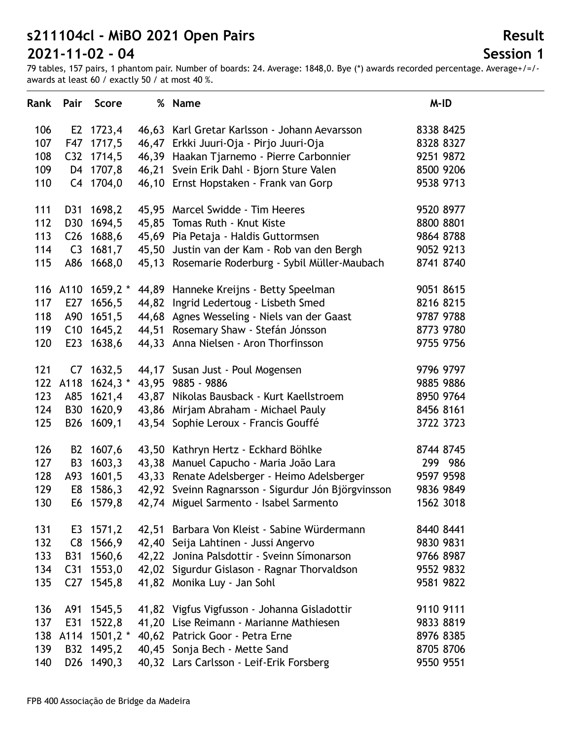**Result Session 1**

| <b>Rank</b> | Pair            | <b>Score</b> |       | % Name                                              | M-ID      |
|-------------|-----------------|--------------|-------|-----------------------------------------------------|-----------|
| 106         | E <sub>2</sub>  | 1723,4       | 46,63 | Karl Gretar Karlsson - Johann Aevarsson             | 8338 8425 |
| 107         | F47             | 1717,5       |       | 46,47 Erkki Juuri-Oja - Pirjo Juuri-Oja             | 8328 8327 |
| 108         | C <sub>32</sub> | 1714,5       |       | 46,39 Haakan Tjarnemo - Pierre Carbonnier           | 9251 9872 |
| 109         | D <sub>4</sub>  | 1707,8       | 46,21 | Svein Erik Dahl - Bjorn Sture Valen                 | 8500 9206 |
| 110         | C <sub>4</sub>  | 1704,0       | 46,10 | Ernst Hopstaken - Frank van Gorp                    | 9538 9713 |
| 111         | D31             | 1698,2       |       | 45,95 Marcel Swidde - Tim Heeres                    | 9520 8977 |
| 112         | D30             | 1694,5       | 45,85 | Tomas Ruth - Knut Kiste                             | 8800 8801 |
| 113         | C <sub>26</sub> | 1688,6       |       | 45,69 Pia Petaja - Haldis Guttormsen                | 9864 8788 |
| 114         | C <sub>3</sub>  | 1681,7       |       | 45,50 Justin van der Kam - Rob van den Bergh        | 9052 9213 |
| 115         | A86             | 1668,0       | 45,13 | Rosemarie Roderburg - Sybil Müller-Maubach          | 8741 8740 |
| 116         | A110            | $1659,2*$    |       | 44,89 Hanneke Kreijns - Betty Speelman              | 9051 8615 |
| 117         | E27             | 1656,5       | 44,82 | Ingrid Ledertoug - Lisbeth Smed                     | 8216 8215 |
| 118         | A90             | 1651, 5      |       | 44,68 Agnes Wesseling - Niels van der Gaast         | 9787 9788 |
| 119         | C <sub>10</sub> | 1645,2       | 44,51 | Rosemary Shaw - Stefán Jónsson                      | 8773 9780 |
| 120         | E23             | 1638,6       | 44,33 | Anna Nielsen - Aron Thorfinsson                     | 9755 9756 |
| 121         | C <sub>7</sub>  | 1632,5       |       | 44,17 Susan Just - Poul Mogensen                    | 9796 9797 |
| 122         | A118            | $1624,3*$    |       | 43,95 9885 - 9886                                   | 9885 9886 |
| 123         | A85             | 1621,4       |       | 43,87 Nikolas Bausback - Kurt Kaellstroem           | 8950 9764 |
| 124         | <b>B30</b>      | 1620,9       |       | 43,86 Mirjam Abraham - Michael Pauly                | 8456 8161 |
| 125         | <b>B26</b>      | 1609,1       |       | 43,54 Sophie Leroux - Francis Gouffé                | 3722 3723 |
| 126         | B <sub>2</sub>  | 1607,6       |       | 43,50 Kathryn Hertz - Eckhard Böhlke                | 8744 8745 |
| 127         | B <sub>3</sub>  | 1603,3       |       | 43,38 Manuel Capucho - Maria João Lara              | 299 986   |
| 128         | A93             | 1601,5       | 43,33 | Renate Adelsberger - Heimo Adelsberger              | 9597 9598 |
| 129         | E8              | 1586,3       |       | 42,92 Sveinn Ragnarsson - Sigurdur Jón Björgvinsson | 9836 9849 |
| 130         | E6              | 1579,8       |       | 42,74 Miguel Sarmento - Isabel Sarmento             | 1562 3018 |
| 131         | E3              | 1571,2       | 42,51 | Barbara Von Kleist - Sabine Würdermann              | 8440 8441 |
| 132         | C8              | 1566,9       |       | 42,40 Seija Lahtinen - Jussi Angervo                | 9830 9831 |
| 133         | <b>B31</b>      | 1560,6       |       | 42,22 Jonina Palsdottir - Sveinn Símonarson         | 9766 8987 |
| 134         | C <sub>31</sub> | 1553,0       |       | 42,02 Sigurdur Gislason - Ragnar Thorvaldson        | 9552 9832 |
| 135         | C <sub>27</sub> | 1545,8       |       | 41,82 Monika Luy - Jan Sohl                         | 9581 9822 |
| 136         | A91             | 1545,5       |       | 41,82 Vigfus Vigfusson - Johanna Gisladottir        | 9110 9111 |
| 137         | E31             | 1522,8       |       | 41,20 Lise Reimann - Marianne Mathiesen             | 9833 8819 |
| 138         | A114            | $1501,2*$    |       | 40,62 Patrick Goor - Petra Erne                     | 8976 8385 |
| 139         | <b>B32</b>      | 1495,2       |       | 40,45 Sonja Bech - Mette Sand                       | 8705 8706 |
| 140         | D <sub>26</sub> | 1490,3       |       | 40,32 Lars Carlsson - Leif-Erik Forsberg            | 9550 9551 |